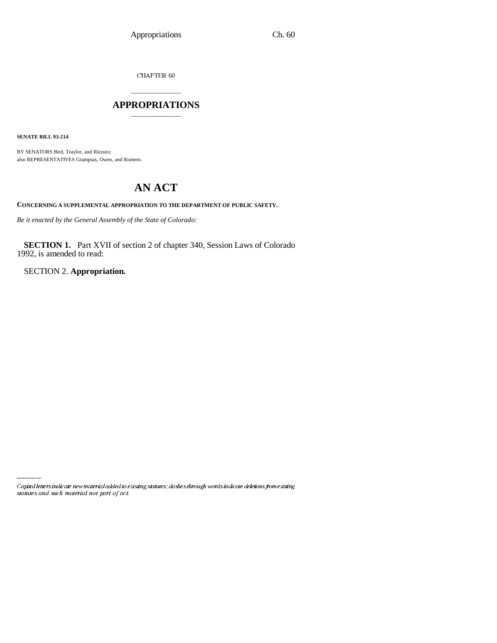CHAPTER  $60$ 

# \_\_\_\_\_\_\_\_\_\_\_\_\_\_\_ **APPROPRIATIONS** \_\_\_\_\_\_\_\_\_\_\_\_\_\_\_

**SENATE BILL 93-214**

BY SENATORS Bird, Traylor, and Rizzuto; also REPRESENTATIVES Grampsas, Owen, and Romero.

# **AN ACT**

**CONCERNING A SUPPLEMENTAL APPROPRIATION TO THE DEPARTMENT OF PUBLIC SAFETY.**

*Be it enacted by the General Assembly of the State of Colorado:*

**SECTION 1.** Part XVII of section 2 of chapter 340, Session Laws of Colorado 1992, is amended to read:

SECTION 2. **Appropriation.**

Capital letters indicate new material added to existing statutes; dashes through words indicate deletions from existing statutes and such material not part of act.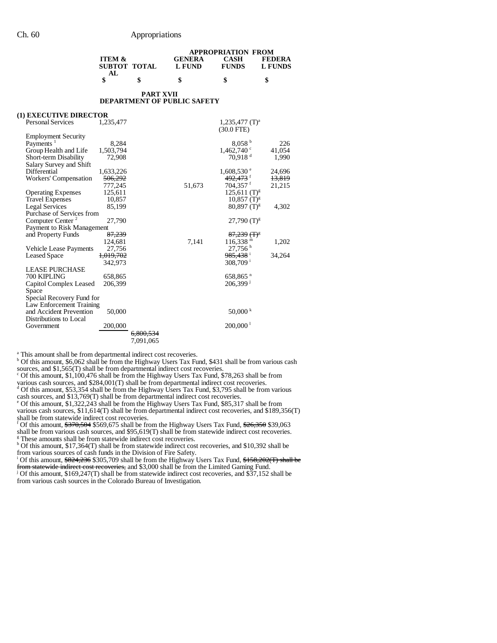|                   |   | <b>APPROPRIATION FROM</b> |              |               |  |
|-------------------|---|---------------------------|--------------|---------------|--|
| <b>ITEM &amp;</b> |   | <b>GENERA</b>             | <b>CASH</b>  | <b>FEDERA</b> |  |
| SUBTOT TOTAL      |   | L FUND                    | <b>FUNDS</b> | L FUNDS       |  |
| AL.               |   |                           |              |               |  |
|                   | S |                           |              |               |  |

#### **PART XVII DEPARTMENT OF PUBLIC SAFETY**

#### **(1) EXECUTIVE DIRECTOR**

| <b>Personal Services</b>     | 1,235,477            |                      |        | $1,235,477$ (T) <sup>a</sup>    |        |
|------------------------------|----------------------|----------------------|--------|---------------------------------|--------|
|                              |                      |                      |        | $(30.0$ FTE)                    |        |
| <b>Employment Security</b>   |                      |                      |        |                                 |        |
| Payments <sup>1</sup>        | 8,284                |                      |        | 8.058 <sup>b</sup>              | 226    |
| Group Health and Life        | 1,503,794            |                      |        | $1,462,740$ $\degree$           | 41,054 |
| Short-term Disability        | 72,908               |                      |        | $70,918$ <sup>d</sup>           | 1,990  |
| Salary Survey and Shift      |                      |                      |        |                                 |        |
| Differential                 | 1,633,226            |                      |        | $1,608,530$ e                   | 24,696 |
| Workers' Compensation        | 506,292              |                      |        | 492,473 <sup>f</sup>            | 13,819 |
|                              | 777,245              |                      | 51,673 | $704,357$ <sup>f</sup>          | 21,215 |
| <b>Operating Expenses</b>    | 125,611              |                      |        | $125,611$ (T) <sup>g</sup>      |        |
| <b>Travel Expenses</b>       | 10,857               |                      |        | $10,857$ (T) <sup>g</sup>       |        |
| <b>Legal Services</b>        | 85,199               |                      |        | $80,897$ (T) <sup>g</sup>       | 4,302  |
| Purchase of Services from    |                      |                      |        |                                 |        |
| Computer Center <sup>2</sup> | 27,790               |                      |        | $27,790$ (T) <sup>g</sup>       |        |
| Payment to Risk Management   |                      |                      |        |                                 |        |
| and Property Funds           | 87,239               |                      |        | 87,239 (T) <sup>8</sup>         |        |
|                              | 124,681              |                      | 7,141  | $116,338$ <sup>m</sup>          | 1,202  |
| Vehicle Lease Payments       | 27,756               |                      |        | $27,756$ <sup>h</sup>           |        |
| Leased Space                 | <del>1,019,702</del> |                      |        | <del>985,438</del> <sup>i</sup> | 34,264 |
|                              | 342,973              |                      |        | $308,709$ <sup>i</sup>          |        |
| LEASE PURCHASE               |                      |                      |        |                                 |        |
| 700 KIPLING                  | 658,865              |                      |        | 658,865 <sup>n</sup>            |        |
| Capitol Complex Leased       | 206,399              |                      |        | $206,399$ <sup>1</sup>          |        |
| Space                        |                      |                      |        |                                 |        |
| Special Recovery Fund for    |                      |                      |        |                                 |        |
| Law Enforcement Training     |                      |                      |        |                                 |        |
| and Accident Prevention      | 50,000               |                      |        | $50,000 \text{ k}$              |        |
| Distributions to Local       |                      |                      |        |                                 |        |
| Government                   | 200,000              |                      |        | $200,000$ <sup>1</sup>          |        |
|                              |                      | <del>6.800.534</del> |        |                                 |        |
|                              |                      | 7,091,065            |        |                                 |        |
|                              |                      |                      |        |                                 |        |

<sup>a</sup> This amount shall be from departmental indirect cost recoveries.

<sup>b</sup> Of this amount, \$6,062 shall be from the Highway Users Tax Fund, \$431 shall be from various cash

sources, and \$1,565(T) shall be from departmental indirect cost recoveries. c Of this amount, \$1,100,476 shall be from the Highway Users Tax Fund, \$78,263 shall be from

various cash sources, and \$284,001(T) shall be from departmental indirect cost recoveries.<br>d Of this amount, \$53,354 shall be from the Highway Users Tax Fund, \$3,795 shall be from various

cash sources, and \$13,769(T) shall be from departmental indirect cost recoveries.

e Of this amount, \$1,322,243 shall be from the Highway Users Tax Fund, \$85,317 shall be from various cash sources, \$11,614(T) shall be from departmental indirect cost recoveries, and \$189,356(T)

shall be from statewide indirect cost recoveries.<br><sup>f</sup> Of this amount, \$<del>370,504</del> \$569,675 shall be from the Highway Users Tax Fund, \$26,350 \$39,063

shall be from various cash sources, and \$95,619(T) shall be from statewide indirect cost recoveries. <sup>g</sup> These amounts shall be from statewide indirect cost recoveries.

<sup>h</sup> Of this amount, \$17,364(T) shall be from statewide indirect cost recoveries, and \$10,392 shall be

from various sources of cash funds in the Division of Fire Safety.<br><sup>i</sup> Of this amount, <del>\$824,236</del> \$305,709 shall be from the Highway Users Tax Fund, <del>\$158,202(T) shall be</del> from statewide indirect cost recoveries, and \$3,000 shall be from the Limited Gaming Fund.<br><sup>j</sup> Of this amount, \$169,247(T) shall be from statewide indirect cost recoveries, and \$37,152 shall be

from various cash sources in the Colorado Bureau of Investigation.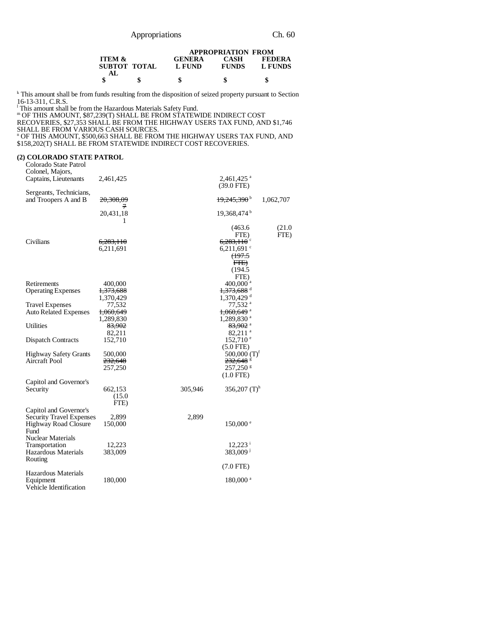|                                   |   | <b>APPROPRIATION FROM</b> |                             |                          |
|-----------------------------------|---|---------------------------|-----------------------------|--------------------------|
| <b>ITEM &amp;</b><br>SUBTOT TOTAL |   | <b>GENERA</b><br>L FUND   | <b>CASH</b><br><b>FUNDS</b> | <b>FEDERA</b><br>L FUNDS |
| AL.                               | S |                           |                             |                          |

 k This amount shall be from funds resulting from the disposition of seized property pursuant to Section 16-13-311, C.R.S.

<sup>1</sup> This amount shall be from the Hazardous Materials Safety Fund.

m OF THIS AMOUNT, \$87,239(T) SHALL BE FROM STATEWIDE INDIRECT COST

RECOVERIES, \$27,353 SHALL BE FROM THE HIGHWAY USERS TAX FUND, AND \$1,746

SHALL BE FROM VARIOUS CASH SOURCES. n OF THIS AMOUNT, \$500,663 SHALL BE FROM THE HIGHWAY USERS TAX FUND, AND \$158,202(T) SHALL BE FROM STATEWIDE INDIRECT COST RECOVERIES.

### **(2) COLORADO STATE PATROL**

Colorado State Patrol Colonel, Majors, Captains, Lieutenants 2,461,425 2,461,425 a (39.0 FTE) Sergeants, Technicians, and Troopers A and B  $20,308,09$ 7  $19,245,390$ <sup>b</sup> 1,062,707 20,431,18 1 19,368,474 b (463.6 FTE) (21.0 FTE) Civilians  $\frac{6,283,110}{6,211,691}$  6,283,110 6,211,691 6 6,211,691 $^{\circ}$ (197.5 FTE) (194.5 FTE) Retirements 400,000 400,000 <sup>a</sup> Operating Expenses  $\frac{1,373,688}{1,370,429}$  $1,370,429$ <br>  $77,532$ <br>  $77,532$ Travel Expenses 77,532<br>Auto Related Expenses  $\frac{77,532}{1,060,649}$  77,532 and 1,060,649 Auto Related Expenses  $\frac{1,060,649}{1,289,830}$  $1,289,830$  a<br> $83,902$  a Utilities  $\begin{array}{r} \text{93,902} \\ \text{83,902} \\ \text{82,211} \\ \text{Dispatch contracts} \\ \text{152,710} \end{array}$  $82,211$  a<br>152,710  $^{\circ}$ Dispatch Contracts  $(5.0$  FTE)<br>500,000  $(T)^f$ Highway Safety Grants 500,000<br>Aircraft Pool 232,648<br>232,648 Aircraft Pool 232,648<br>257,250  $257,250$  g (1.0 FTE) Capitol and Governor's 662,153 305,946 356,207 (T)<sup>h</sup>  $(15.0)$ FTE) Capitol and Governor's Security Travel Expenses 2,899<br>Highway Road Closure 150,000 Highway Road Closure Fund  $150,000$ <sup>e</sup> Nuclear Materials Transportation 12,223 12,223 12,223 13,009 13,33,009 13,33,009 13,423 12,223 12,223 12,223 12,223 12,223 12,223 12,223 12,223 12,223 12,223 12,223 12,223 12,223 12,223 12,223 12,223 12,223 12,223 12,223 12,223 12,223 12,22 Hazardous Materials Routing 383,009 j (7.0 FTE) Hazardous Materials Equipment 180,000 180,000 a Vehicle Identification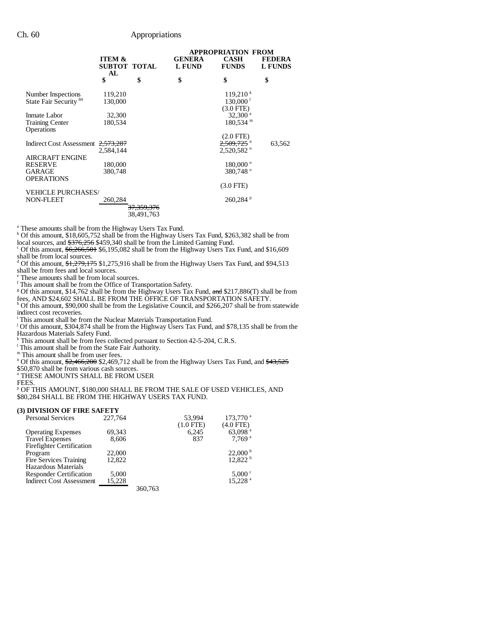|                                                         |                                         |                       | APPROPRIATION FROM             |                                                                |                                 |  |
|---------------------------------------------------------|-----------------------------------------|-----------------------|--------------------------------|----------------------------------------------------------------|---------------------------------|--|
|                                                         | <b>ITEM &amp;</b><br>SUBTOT TOTAL<br>AL |                       | <b>GENERA</b><br><b>L FUND</b> | <b>CASH</b><br><b>FUNDS</b>                                    | <b>FEDERA</b><br><b>L FUNDS</b> |  |
|                                                         | \$                                      | \$                    | \$                             | \$                                                             | \$                              |  |
| Number Inspections<br>State Fair Security <sup>84</sup> | 119,210<br>130,000                      |                       |                                | 119.210 <sup>k</sup><br>130,000 <sup>1</sup><br>$(3.0$ FTE $)$ |                                 |  |
| Inmate Labor                                            | 32,300                                  |                       |                                | $32,300$ <sup>a</sup>                                          |                                 |  |
| <b>Training Center</b><br>Operations                    | 180,534                                 |                       |                                | $180,534$ <sup>m</sup>                                         |                                 |  |
|                                                         |                                         |                       |                                | $(2.0$ FTE $)$                                                 |                                 |  |
| Indirect Cost Assessment                                | 2,573,287<br>2.584.144                  |                       |                                | $2,520,582$ <sup>n</sup>                                       | 63,562                          |  |
| <b>AIRCRAFT ENGINE</b>                                  |                                         |                       |                                |                                                                |                                 |  |
| <b>RESERVE</b>                                          | 180,000                                 |                       |                                | $180,000^{\circ}$                                              |                                 |  |
| <b>GARAGE</b><br><b>OPERATIONS</b>                      | 380,748                                 |                       |                                | 380,748°                                                       |                                 |  |
|                                                         |                                         |                       |                                | $(3.0$ FTE)                                                    |                                 |  |
| <b>VEHICLE PURCHASES/</b>                               |                                         |                       |                                |                                                                |                                 |  |
| <b>NON-FLEET</b>                                        | 260,284                                 | <del>37,359,376</del> |                                | 260.284P                                                       |                                 |  |
|                                                         |                                         | 38,491,763            |                                |                                                                |                                 |  |

a These amounts shall be from the Highway Users Tax Fund. b Of this amount, \$18,605,752 shall be from the Highway Users Tax Fund, \$263,382 shall be from

local sources, and  $\frac{$376,256}{$459,340$$  shall be from the Limited Gaming Fund.

 $\degree$  Of this amount,  $\frac{6,266,501}{6,095,082}$  shall be from the Highway Users Tax Fund, and \$16,609

shall be from local sources.<br><sup>d</sup> Of this amount, <del>\$1,279,175</del> \$1,275,916 shall be from the Highway Users Tax Fund, and \$94,513

shall be from fees and local sources. e These amounts shall be from local sources.

f This amount shall be from the Office of Transportation Safety.

<sup>g</sup> Of this amount, \$14,762 shall be from the Highway Users Tax Fund, and \$217,886(T) shall be from

fees, AND \$24,602 SHALL BE FROM THE OFFICE OF TRANSPORTATION SAFETY.<br><sup>h</sup> Of this amount, \$90,000 shall be from the Legislative Council, and \$266,207 shall be from statewide indirect cost recoveries.

i This amount shall be from the Nuclear Materials Transportation Fund. j Of this amount, \$304,874 shall be from the Highway Users Tax Fund, and \$78,135 shall be from the

Hazardous Materials Safety Fund. k This amount shall be from fees collected pursuant to Section 42-5-204, C.R.S.

<sup>1</sup> This amount shall be from the State Fair Authority.

m This amount shall be from user fees.

<sup>n</sup> Of this amount, \$2,466,200 \$2,469,712 shall be from the Highway Users Tax Fund, and \$43,525

\$50,870 shall be from various cash sources. o THESE AMOUNTS SHALL BE FROM USER

FEES. p OF THIS AMOUNT, \$180,000 SHALL BE FROM THE SALE OF USED VEHICLES, AND \$80,284 SHALL BE FROM THE HIGHWAY USERS TAX FUND.

### **(3) DIVISION OF FIRE SAFETY**

| <b>Personal Services</b>         | 227,764 |         | 53,994      | 173,770 <sup>a</sup>  |
|----------------------------------|---------|---------|-------------|-----------------------|
|                                  |         |         | $(1.0$ FTE) | $(4.0$ FTE)           |
| <b>Operating Expenses</b>        | 69,343  |         | 6,245       | 63,098 <sup>a</sup>   |
| <b>Travel Expenses</b>           | 8.606   |         | 837         | $7.769$ <sup>a</sup>  |
| <b>Firefighter Certification</b> |         |         |             |                       |
| Program                          | 22,000  |         |             | $22,000^{\mathrm{b}}$ |
| Fire Services Training           | 12,822  |         |             | 12,822 h              |
| Hazardous Materials              |         |         |             |                       |
| <b>Responder Certification</b>   | 5.000   |         |             | $5,000^{\circ}$       |
| <b>Indirect Cost Assessment</b>  | 15,228  |         |             | 15.228 <sup>a</sup>   |
|                                  |         | 360,763 |             |                       |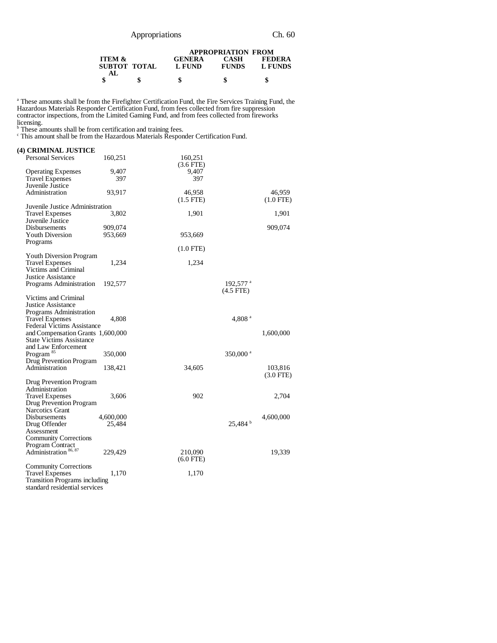| Appropriations |  |
|----------------|--|
|                |  |

|                                   | <b>APPROPRIATION FROM</b> |                      |                          |  |
|-----------------------------------|---------------------------|----------------------|--------------------------|--|
| <b>ITEM &amp;</b><br>SUBTOT TOTAL | <b>GENERA</b><br>L FUND   | CASH<br><b>FUNDS</b> | <b>FEDERA</b><br>L FUNDS |  |
| AL.                               | \$                        |                      |                          |  |
|                                   |                           |                      |                          |  |

<sup>a</sup> These amounts shall be from the Firefighter Certification Fund, the Fire Services Training Fund, the Hazardous Materials Responder Certification Fund, from fees collected from fire suppression contractor inspections, from the Limited Gaming Fund, and from fees collected from fireworks

licensing.<br><sup>b</sup> These amounts shall be from certification and training fees.<br><sup>c</sup> This amount shall be from the Hazardous Materials Responder Certification Fund.

| (4) CRIMINAL JUSTICE                      |           |                |                      |             |
|-------------------------------------------|-----------|----------------|----------------------|-------------|
| <b>Personal Services</b>                  | 160,251   | 160,251        |                      |             |
|                                           |           | $(3.6$ FTE)    |                      |             |
| <b>Operating Expenses</b>                 | 9,407     | 9,407          |                      |             |
| <b>Travel Expenses</b>                    | 397       | 397            |                      |             |
| Juvenile Justice                          |           |                |                      |             |
| Administration                            | 93,917    | 46,958         |                      | 46,959      |
|                                           |           | $(1.5$ FTE $)$ |                      | $(1.0$ FTE) |
| Juvenile Justice Administration           |           |                |                      |             |
| <b>Travel Expenses</b>                    | 3,802     | 1,901          |                      | 1,901       |
| Juvenile Justice                          |           |                |                      |             |
| <b>Disbursements</b>                      | 909,074   |                |                      | 909,074     |
| Youth Diversion                           | 953,669   | 953,669        |                      |             |
| Programs                                  |           |                |                      |             |
|                                           |           | $(1.0$ FTE)    |                      |             |
| <b>Youth Diversion Program</b>            |           |                |                      |             |
| <b>Travel Expenses</b>                    | 1,234     | 1,234          |                      |             |
| Victims and Criminal                      |           |                |                      |             |
| <b>Justice Assistance</b>                 |           |                |                      |             |
| Programs Administration                   | 192,577   |                | 192,577 <sup>a</sup> |             |
|                                           |           |                | $(4.5$ FTE)          |             |
| Victims and Criminal                      |           |                |                      |             |
| Justice Assistance                        |           |                |                      |             |
| Programs Administration                   |           |                |                      |             |
| <b>Travel Expenses</b>                    | 4,808     |                | 4,808 <sup>a</sup>   |             |
| Federal Victims Assistance                |           |                |                      |             |
| and Compensation Grants 1,600,000         |           |                |                      | 1,600,000   |
| <b>State Victims Assistance</b>           |           |                |                      |             |
| and Law Enforcement                       |           |                |                      |             |
| Program <sup>85</sup>                     | 350,000   |                | 350,000 <sup>a</sup> |             |
| Drug Prevention Program                   |           |                |                      |             |
| Administration                            | 138,421   | 34,605         |                      | 103,816     |
|                                           |           |                |                      | $(3.0$ FTE) |
| Drug Prevention Program                   |           |                |                      |             |
| Administration                            |           |                |                      |             |
| <b>Travel Expenses</b>                    | 3,606     | 902            |                      | 2,704       |
| Drug Prevention Program                   |           |                |                      |             |
| <b>Narcotics Grant</b>                    |           |                |                      |             |
| <b>Disbursements</b>                      | 4,600,000 |                |                      | 4,600,000   |
| Drug Offender                             | 25,484    |                | $25,484$ b           |             |
| Assessment                                |           |                |                      |             |
| <b>Community Corrections</b>              |           |                |                      |             |
|                                           |           |                |                      |             |
| Program Contract<br>Administration 86, 87 | 229,429   | 210,090        |                      | 19,339      |
|                                           |           | $(6.0$ FTE)    |                      |             |
| <b>Community Corrections</b>              |           |                |                      |             |
| <b>Travel Expenses</b>                    | 1,170     | 1,170          |                      |             |
| <b>Transition Programs including</b>      |           |                |                      |             |
| standard residential services             |           |                |                      |             |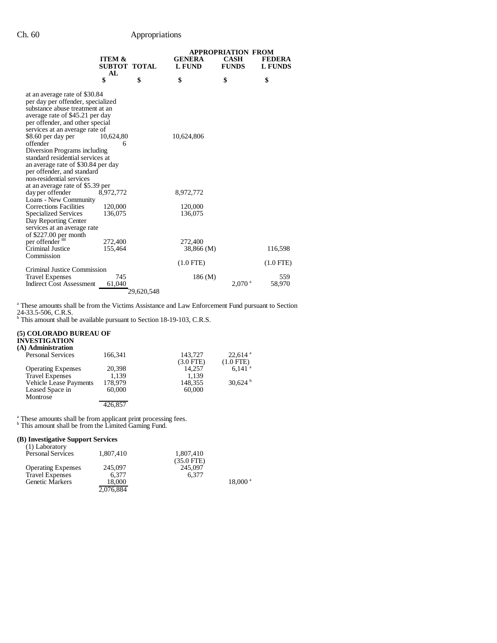# Ch. 60 Appropriations

|                                                        |                     |            | <b>APPROPRIATION FROM</b> |                      |                |
|--------------------------------------------------------|---------------------|------------|---------------------------|----------------------|----------------|
|                                                        | <b>ITEM &amp;</b>   |            | <b>GENERA</b>             | <b>CASH</b>          | <b>FEDERA</b>  |
|                                                        | <b>SUBTOT TOTAL</b> |            | <b>L FUND</b>             | <b>FUNDS</b>         | <b>L FUNDS</b> |
|                                                        | AL<br>\$            | \$         | \$                        | \$                   | \$             |
|                                                        |                     |            |                           |                      |                |
| at an average rate of \$30.84                          |                     |            |                           |                      |                |
| per day per offender, specialized                      |                     |            |                           |                      |                |
| substance abuse treatment at an                        |                     |            |                           |                      |                |
| average rate of \$45.21 per day                        |                     |            |                           |                      |                |
| per offender, and other special                        |                     |            |                           |                      |                |
| services at an average rate of                         |                     |            |                           |                      |                |
| \$8.60 per day per                                     | 10,624,80           |            | 10,624,806                |                      |                |
| offender                                               | 6                   |            |                           |                      |                |
| Diversion Programs including                           |                     |            |                           |                      |                |
| standard residential services at                       |                     |            |                           |                      |                |
| an average rate of \$30.84 per day                     |                     |            |                           |                      |                |
| per offender, and standard<br>non-residential services |                     |            |                           |                      |                |
| at an average rate of \$5.39 per                       |                     |            |                           |                      |                |
| day per offender                                       | 8,972,772           |            | 8,972,772                 |                      |                |
| Loans - New Community                                  |                     |            |                           |                      |                |
| <b>Corrections Facilities</b>                          | 120,000             |            | 120,000                   |                      |                |
| <b>Specialized Services</b>                            | 136,075             |            | 136,075                   |                      |                |
| Day Reporting Center                                   |                     |            |                           |                      |                |
| services at an average rate                            |                     |            |                           |                      |                |
| of $$227.00$ per month                                 |                     |            |                           |                      |                |
| per offender <sup>88</sup>                             | 272,400             |            | 272,400                   |                      |                |
| Criminal Justice                                       | 155,464             |            | 38,866 (M)                |                      | 116,598        |
| Commission                                             |                     |            |                           |                      |                |
|                                                        |                     |            | $(1.0$ FTE)               |                      | $(1.0$ FTE)    |
| Criminal Justice Commission                            |                     |            |                           |                      |                |
| <b>Travel Expenses</b>                                 | 745                 |            | 186(M)                    |                      | 559            |
| <b>Indirect Cost Assessment</b>                        | 61,040              |            |                           | $2.070$ <sup>a</sup> | 58,970         |
|                                                        |                     | 29,620,548 |                           |                      |                |

<sup>a</sup> These amounts shall be from the Victims Assistance and Law Enforcement Fund pursuant to Section

24-33.5-506, C.R.S. b This amount shall be available pursuant to Section 18-19-103, C.R.S.

### **(5) COLORADO BUREAU OF**

| <b>INVESTIGATION</b><br>(A) Administration |         |                |                       |
|--------------------------------------------|---------|----------------|-----------------------|
| <b>Personal Services</b>                   | 166.341 | 143,727        | $22.614$ <sup>a</sup> |
|                                            |         | $(3.0$ FTE $)$ | $(1.0$ FTE)           |
| <b>Operating Expenses</b>                  | 20.398  | 14.257         | $6.141$ <sup>a</sup>  |
| <b>Travel Expenses</b>                     | 1.139   | 1.139          |                       |
| <b>Vehicle Lease Payments</b>              | 178,979 | 148,355        | $30,624^{\mathrm{b}}$ |
| Leased Space in                            | 60,000  | 60,000         |                       |
| Montrose                                   |         |                |                       |
|                                            |         |                |                       |

<sup>a</sup> These amounts shall be from applicant print processing fees.<br><sup>b</sup> This amount shall be from the Limited Gaming Fund.

### **(B) Investigative Support Services**

| (1) Laboratory            |           |              |                       |
|---------------------------|-----------|--------------|-----------------------|
| <b>Personal Services</b>  | 1,807,410 | 1.807.410    |                       |
|                           |           | $(35.0$ FTE) |                       |
| <b>Operating Expenses</b> | 245,097   | 245,097      |                       |
| <b>Travel Expenses</b>    | 6.377     | 6.377        |                       |
| <b>Genetic Markers</b>    | 18.000    |              | $18,000$ <sup>a</sup> |
|                           | 2,076,884 |              |                       |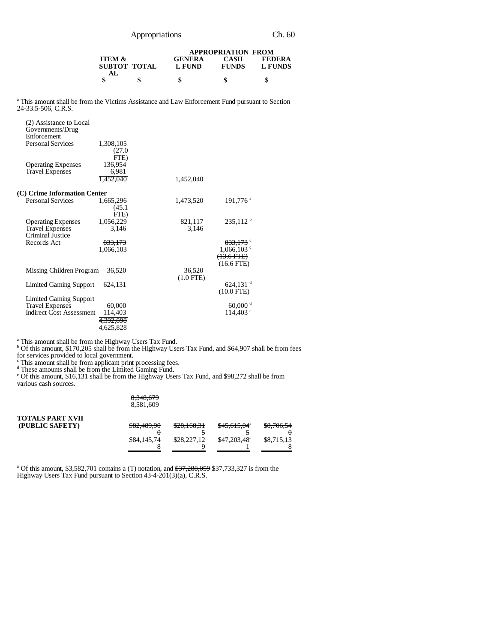Appropriations Ch. 60

|                   |              | <b>APPROPRIATION FROM</b> |              |               |  |
|-------------------|--------------|---------------------------|--------------|---------------|--|
| <b>ITEM &amp;</b> |              | <b>GENERA</b>             | CASH         | <b>FEDERA</b> |  |
|                   | SUBTOT TOTAL | L FUND                    | <b>FUNDS</b> | L FUNDS       |  |
| AL.               |              |                           |              |               |  |
|                   | \$           |                           |              | S             |  |

<sup>a</sup> This amount shall be from the Victims Assistance and Law Enforcement Fund pursuant to Section 24-33.5-506, C.R.S.

| (2) Assistance to Local<br>Governments/Drug<br>Enforcement<br><b>Personal Services</b> | 1,308,105<br>(27.0                        |                       |                                                       |
|----------------------------------------------------------------------------------------|-------------------------------------------|-----------------------|-------------------------------------------------------|
| <b>Operating Expenses</b><br><b>Travel Expenses</b>                                    | FTE)<br>136,954<br>6.981<br>1,452,040     | 1,452,040             |                                                       |
| (C) Crime Information Center                                                           |                                           |                       |                                                       |
| <b>Personal Services</b>                                                               | 1,665,296<br>(45.1)                       | 1,473,520             | 191,776 <sup>a</sup>                                  |
| <b>Operating Expenses</b><br><b>Travel Expenses</b><br>Criminal Justice                | FTE)<br>1,056,229<br>3.146                | 821,117<br>3,146      | $235,112^{\mathrm{b}}$                                |
| Records Act                                                                            | 833,173<br>1,066,103                      |                       | 833,173 <sup>c</sup><br>$1,066,103$ c<br>$(13.6 FTE)$ |
| Missing Children Program                                                               | 36,520                                    | 36,520<br>$(1.0$ FTE) | $(16.6$ FTE)                                          |
| Limited Gaming Support                                                                 | 624.131                                   |                       | $624,131$ <sup>d</sup><br>$(10.0$ FTE)                |
| <b>Limited Gaming Support</b>                                                          |                                           |                       |                                                       |
| <b>Travel Expenses</b><br><b>Indirect Cost Assessment</b>                              | 60,000<br>114,403<br><del>4,392,898</del> |                       | $60,000$ <sup>d</sup><br>$114,403$ <sup>e</sup>       |
|                                                                                        | 4,625,828                                 |                       |                                                       |

a This amount shall be from the Highway Users Tax Fund. b Of this amount, \$170,205 shall be from the Highway Users Tax Fund, and \$64,907 shall be from fees

for services provided to local government.<br>
Finis amount shall be from applicant print processing fees.<br>
Interval These amounts shall be from the Limited Gaming Fund.<br>
For this amount, \$16,131 shall be from the Highway Use various cash sources.

#### 8,348,679 8,581,609

| <b>TOTALS PART XVII</b><br>(PUBLIC SAFETY) | \$82,489,90 | 0.0016021<br>520,100,31 | \$45,615,04 <sup>a</sup> | \$8,706,54 |
|--------------------------------------------|-------------|-------------------------|--------------------------|------------|
|                                            | \$84,145,74 | \$28,227,12             | $$47,203,48^a$           | \$8,715,13 |
|                                            |             |                         |                          |            |

<sup>a</sup> Of this amount, \$3,582,701 contains a (T) notation, and  $\frac{27}{37,288,059}$  \$37,733,327 is from the Highway Users Tax Fund pursuant to Section 43-4-201(3)(a), C.R.S.